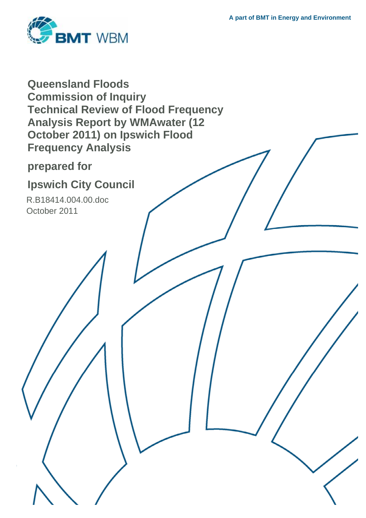

**Queensland Floods Commission of Inquiry Technical Review of Flood Frequency Analysis Report by WMAwater (12 October 2011) on Ipswich Flood Frequency Analysis** 

**prepared for** 

# **Ipswich City Council**

R.B18414.004.00.doc October 2011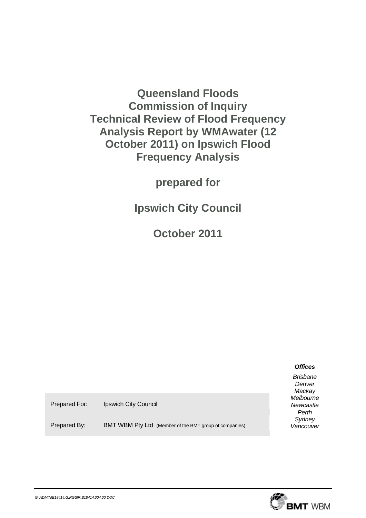**Queensland Floods Commission of Inquiry Technical Review of Flood Frequency Analysis Report by WMAwater (12 October 2011) on Ipswich Flood Frequency Analysis** 

**prepared for** 

**Ipswich City Council** 

**October 2011**

## *Offices*

*Brisbane Denver Mackay Melbourne Newcastle Perth Sydney Vancouver* 

Prepared For: Ipswich City Council

Prepared By: BMT WBM Pty Ltd (Member of the BMT group of companies)

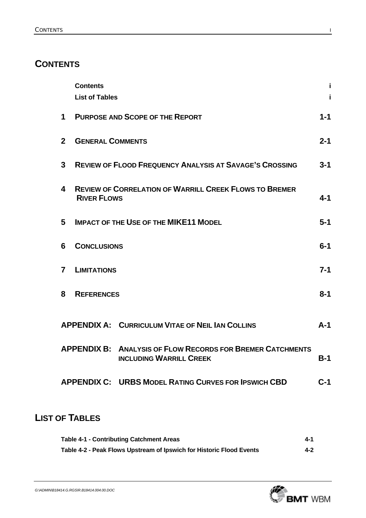# **CONTENTS**

|                | <b>Contents</b>               |                                                                                                     | i       |  |  |
|----------------|-------------------------------|-----------------------------------------------------------------------------------------------------|---------|--|--|
|                | <b>List of Tables</b>         |                                                                                                     |         |  |  |
| $\mathbf 1$    |                               | <b>PURPOSE AND SCOPE OF THE REPORT</b>                                                              | $1 - 1$ |  |  |
| 2 <sup>1</sup> | <b>GENERAL COMMENTS</b>       |                                                                                                     | $2 - 1$ |  |  |
| 3              |                               | <b>REVIEW OF FLOOD FREQUENCY ANALYSIS AT SAVAGE'S CROSSING</b>                                      | $3 - 1$ |  |  |
| 4              | <b>RIVER FLOWS</b>            | <b>REVIEW OF CORRELATION OF WARRILL CREEK FLOWS TO BREMER</b>                                       | $4 - 1$ |  |  |
| 5              |                               | <b>IMPACT OF THE USE OF THE MIKE11 MODEL</b>                                                        | $5-1$   |  |  |
| 6              | $6-1$<br><b>CONCLUSIONS</b>   |                                                                                                     |         |  |  |
| $\overline{7}$ | $7 - 1$<br><b>LIMITATIONS</b> |                                                                                                     |         |  |  |
| 8              | <b>REFERENCES</b>             |                                                                                                     |         |  |  |
|                |                               | <b>APPENDIX A: CURRICULUM VITAE OF NEIL IAN COLLINS</b>                                             | $A-1$   |  |  |
|                |                               | <b>APPENDIX B: ANALYSIS OF FLOW RECORDS FOR BREMER CATCHMENTS</b><br><b>INCLUDING WARRILL CREEK</b> | B-1     |  |  |
|                |                               | <b>APPENDIX C: URBS MODEL RATING CURVES FOR IPSWICH CBD</b>                                         | $C-1$   |  |  |
|                |                               |                                                                                                     |         |  |  |

# **LIST OF TABLES**

| Table 4-1 - Contributing Catchment Areas                             | 4-1 |
|----------------------------------------------------------------------|-----|
| Table 4-2 - Peak Flows Upstream of Ipswich for Historic Flood Events | 4-2 |

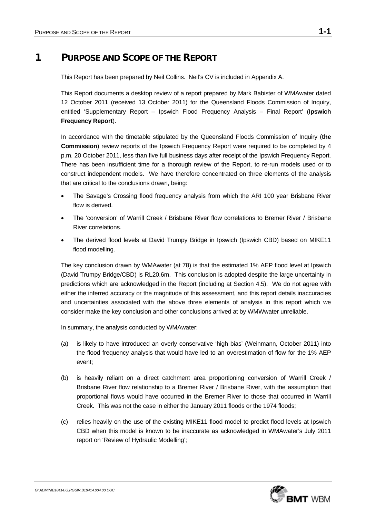# **1 PURPOSE AND SCOPE OF THE REPORT**

This Report has been prepared by Neil Collins. Neil's CV is included in Appendix A.

This Report documents a desktop review of a report prepared by Mark Babister of WMAwater dated 12 October 2011 (received 13 October 2011) for the Queensland Floods Commission of Inquiry, entitled 'Supplementary Report – Ipswich Flood Frequency Analysis – Final Report' (**Ipswich Frequency Report**).

In accordance with the timetable stipulated by the Queensland Floods Commission of Inquiry (**the Commission**) review reports of the Ipswich Frequency Report were required to be completed by 4 p.m. 20 October 2011, less than five full business days after receipt of the Ipswich Frequency Report. There has been insufficient time for a thorough review of the Report, to re-run models used or to construct independent models. We have therefore concentrated on three elements of the analysis that are critical to the conclusions drawn, being:

- The Savage's Crossing flood frequency analysis from which the ARI 100 year Brisbane River flow is derived.
- The 'conversion' of Warrill Creek / Brisbane River flow correlations to Bremer River / Brisbane River correlations.
- The derived flood levels at David Trumpy Bridge in Ipswich (Ipswich CBD) based on MIKE11 flood modelling.

The key conclusion drawn by WMAwater (at 78) is that the estimated 1% AEP flood level at Ipswich (David Trumpy Bridge/CBD) is RL20.6m. This conclusion is adopted despite the large uncertainty in predictions which are acknowledged in the Report (including at Section 4.5). We do not agree with either the inferred accuracy or the magnitude of this assessment, and this report details inaccuracies and uncertainties associated with the above three elements of analysis in this report which we consider make the key conclusion and other conclusions arrived at by WMWwater unreliable.

In summary, the analysis conducted by WMAwater:

- (a) is likely to have introduced an overly conservative 'high bias' (Weinmann, October 2011) into the flood frequency analysis that would have led to an overestimation of flow for the 1% AEP event;
- (b) is heavily reliant on a direct catchment area proportioning conversion of Warrill Creek / Brisbane River flow relationship to a Bremer River / Brisbane River, with the assumption that proportional flows would have occurred in the Bremer River to those that occurred in Warrill Creek. This was not the case in either the January 2011 floods or the 1974 floods;
- (c) relies heavily on the use of the existing MIKE11 flood model to predict flood levels at Ipswich CBD when this model is known to be inaccurate as acknowledged in WMAwater's July 2011 report on 'Review of Hydraulic Modelling';

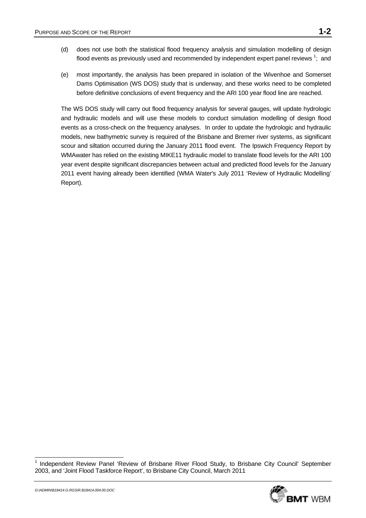- (d) does not use both the statistical flood frequency analysis and simulation modelling of design flood events as previously used and recommended by independent expert panel reviews  $^{1}$ ; and
- (e) most importantly, the analysis has been prepared in isolation of the Wivenhoe and Somerset Dams Optimisation (WS DOS) study that is underway, and these works need to be completed before definitive conclusions of event frequency and the ARI 100 year flood line are reached.

The WS DOS study will carry out flood frequency analysis for several gauges, will update hydrologic and hydraulic models and will use these models to conduct simulation modelling of design flood events as a cross-check on the frequency analyses. In order to update the hydrologic and hydraulic models, new bathymetric survey is required of the Brisbane and Bremer river systems, as significant scour and siltation occurred during the January 2011 flood event. The Ipswich Frequency Report by WMAwater has relied on the existing MIKE11 hydraulic model to translate flood levels for the ARI 100 year event despite significant discrepancies between actual and predicted flood levels for the January 2011 event having already been identified (WMA Water's July 2011 'Review of Hydraulic Modelling' Report).

<sup>&</sup>lt;sup>1</sup> Independent Review Panel 'Review of Brisbane River Flood Study, to Brisbane City Council' September 2003, and 'Joint Flood Taskforce Report', to Brisbane City Council, March 2011



l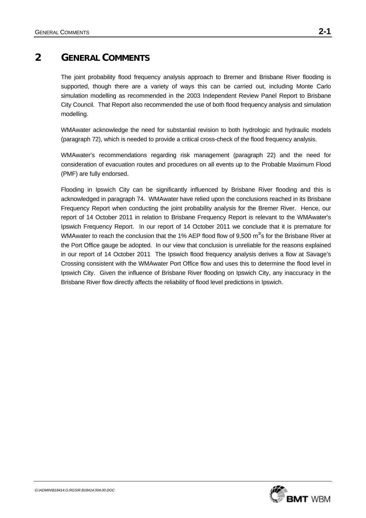# **2 GENERAL COMMENTS**

The joint probability flood frequency analysis approach to Bremer and Brisbane River flooding is supported, though there are a variety of ways this can be carried out, including Monte Carlo simulation modelling as recommended in the 2003 Independent Review Panel Report to Brisbane City Council. That Report also recommended the use of both flood frequency analysis and simulation modelling.

WMAwater acknowledge the need for substantial revision to both hydrologic and hydraulic models (paragraph 72), which is needed to provide a critical cross-check of the flood frequency analysis.

WMAwater's recommendations regarding risk management (paragraph 22) and the need for consideration of evacuation routes and procedures on all events up to the Probable Maximum Flood (PMF) are fully endorsed.

Flooding in Ipswich City can be significantly influenced by Brisbane River flooding and this is acknowledged in paragraph 74. WMAwater have relied upon the conclusions reached in its Brisbane Frequency Report when conducting the joint probability analysis for the Bremer River. Hence, our report of 14 October 2011 in relation to Brisbane Frequency Report is relevant to the WMAwater's Ipswich Frequency Report. In our report of 14 October 2011 we conclude that it is premature for WMAwater to reach the conclusion that the 1% AEP flood flow of 9,500  $m^3$ 's for the Brisbane River at the Port Office gauge be adopted. In our view that conclusion is unreliable for the reasons explained in our report of 14 October 2011The Ipswich flood frequency analysis derives a flow at Savage's Crossing consistent with the WMAwater Port Office flow and uses this to determine the flood level in Ipswich City. Given the influence of Brisbane River flooding on Ipswich City, any inaccuracy in the Brisbane River flow directly affects the reliability of flood level predictions in Ipswich.

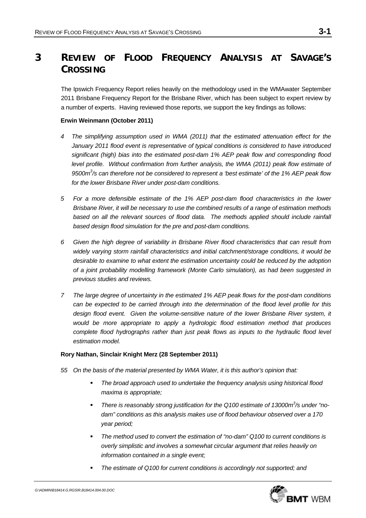# **3 REVIEW OF FLOOD FREQUENCY ANALYSIS AT SAVAGE'S CROSSING**

The Ipswich Frequency Report relies heavily on the methodology used in the WMAwater September 2011 Brisbane Frequency Report for the Brisbane River, which has been subject to expert review by a number of experts. Having reviewed those reports, we support the key findings as follows:

### **Erwin Weinmann (October 2011)**

- *4 The simplifying assumption used in WMA (2011) that the estimated attenuation effect for the January 2011 flood event is representative of typical conditions is considered to have introduced significant (high) bias into the estimated post-dam 1% AEP peak flow and corresponding flood level profile. Without confirmation from further analysis, the WMA (2011) peak flow estimate of* 9500m<sup>3</sup>/s can therefore not be considered to represent a 'best estimate' of the 1% AEP peak flow *for the lower Brisbane River under post-dam conditions.*
- *5 For a more defensible estimate of the 1% AEP post-dam flood characteristics in the lower Brisbane River, it will be necessary to use the combined results of a range of estimation methods*  based on all the relevant sources of flood data. The methods applied should include rainfall *based design flood simulation for the pre and post-dam conditions.*
- *6 Given the high degree of variability in Brisbane River flood characteristics that can result from widely varying storm rainfall characteristics and initial catchment/storage conditions, it would be desirable to examine to what extent the estimation uncertainty could be reduced by the adoption of a joint probability modelling framework (Monte Carlo simulation), as had been suggested in previous studies and reviews.*
- *7 The large degree of uncertainty in the estimated 1% AEP peak flows for the post-dam conditions can be expected to be carried through into the determination of the flood level profile for this*  design flood event. Given the volume-sensitive nature of the lower Brisbane River system, it *would be more appropriate to apply a hydrologic flood estimation method that produces complete flood hydrographs rather than just peak flows as inputs to the hydraulic flood level estimation model.*

### **Rory Nathan, Sinclair Knight Merz (28 September 2011)**

- *55 On the basis of the material presented by WMA Water, it is this author's opinion that:* 
	- *The broad approach used to undertake the frequency analysis using historical flood maxima is appropriate;*
	- **There is reasonably strong justification for the Q100 estimate of 13000m<sup>3</sup>/s under "no***dam" conditions as this analysis makes use of flood behaviour observed over a 170 year period;*
	- *The method used to convert the estimation of "no-dam" Q100 to current conditions is overly simplistic and involves a somewhat circular argument that relies heavily on information contained in a single event;*
	- *The estimate of Q100 for current conditions is accordingly not supported; and*

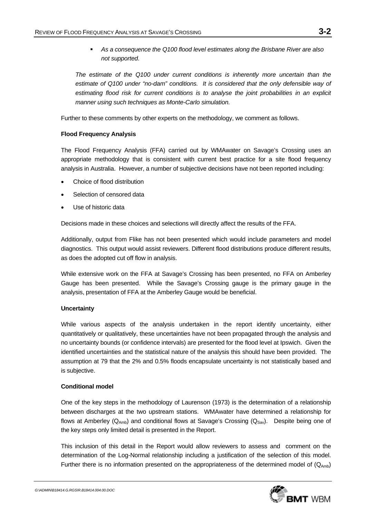*As a consequence the Q100 flood level estimates along the Brisbane River are also not supported.* 

*The estimate of the Q100 under current conditions is inherently more uncertain than the estimate of Q100 under "no-dam" conditions. It is considered that the only defensible way of*  estimating flood risk for current conditions is to analyse the joint probabilities in an explicit *manner using such techniques as Monte-Carlo simulation.* 

Further to these comments by other experts on the methodology, we comment as follows.

## **Flood Frequency Analysis**

The Flood Frequency Analysis (FFA) carried out by WMAwater on Savage's Crossing uses an appropriate methodology that is consistent with current best practice for a site flood frequency analysis in Australia. However, a number of subjective decisions have not been reported including:

- Choice of flood distribution
- Selection of censored data
- Use of historic data

Decisions made in these choices and selections will directly affect the results of the FFA.

Additionally, output from Flike has not been presented which would include parameters and model diagnostics. This output would assist reviewers. Different flood distributions produce different results, as does the adopted cut off flow in analysis.

While extensive work on the FFA at Savage's Crossing has been presented, no FFA on Amberley Gauge has been presented. While the Savage's Crossing gauge is the primary gauge in the analysis, presentation of FFA at the Amberley Gauge would be beneficial.

### **Uncertainty**

While various aspects of the analysis undertaken in the report identify uncertainty, either quantitatively or qualitatively, these uncertainties have not been propagated through the analysis and no uncertainty bounds (or confidence intervals) are presented for the flood level at Ipswich. Given the identified uncertainties and the statistical nature of the analysis this should have been provided. The assumption at 79 that the 2% and 0.5% floods encapsulate uncertainty is not statistically based and is subjective.

### **Conditional model**

One of the key steps in the methodology of Laurenson (1973) is the determination of a relationship between discharges at the two upstream stations. WMAwater have determined a relationship for flows at Amberley ( $Q_{Amb}$ ) and conditional flows at Savage's Crossing ( $Q_{Sav}$ ). Despite being one of the key steps only limited detail is presented in the Report.

This inclusion of this detail in the Report would allow reviewers to assess and comment on the determination of the Log-Normal relationship including a justification of the selection of this model. Further there is no information presented on the appropriateness of the determined model of  $(Q_{Amb})$ 

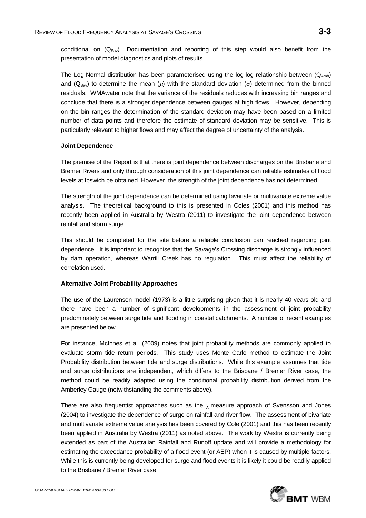conditional on  $(Q_{Sav})$ . Documentation and reporting of this step would also benefit from the presentation of model diagnostics and plots of results.

The Log-Normal distribution has been parameterised using the log-log relationship between  $(Q_{Amb})$ and (Q<sub>Sav</sub>) to determine the mean ( $\mu$ ) with the standard deviation (σ) determined from the binned residuals. WMAwater note that the variance of the residuals reduces with increasing bin ranges and conclude that there is a stronger dependence between gauges at high flows. However, depending on the bin ranges the determination of the standard deviation may have been based on a limited number of data points and therefore the estimate of standard deviation may be sensitive. This is particularly relevant to higher flows and may affect the degree of uncertainty of the analysis.

#### **Joint Dependence**

The premise of the Report is that there is joint dependence between discharges on the Brisbane and Bremer Rivers and only through consideration of this joint dependence can reliable estimates of flood levels at Ipswich be obtained. However, the strength of the joint dependence has not determined.

The strength of the joint dependence can be determined using bivariate or multivariate extreme value analysis. The theoretical background to this is presented in Coles (2001) and this method has recently been applied in Australia by Westra (2011) to investigate the joint dependence between rainfall and storm surge.

This should be completed for the site before a reliable conclusion can reached regarding joint dependence. It is important to recognise that the Savage's Crossing discharge is strongly influenced by dam operation, whereas Warrill Creek has no regulation. This must affect the reliability of correlation used.

### **Alternative Joint Probability Approaches**

The use of the Laurenson model (1973) is a little surprising given that it is nearly 40 years old and there have been a number of significant developments in the assessment of joint probability predominately between surge tide and flooding in coastal catchments. A number of recent examples are presented below.

For instance, McInnes et al. (2009) notes that joint probability methods are commonly applied to evaluate storm tide return periods. This study uses Monte Carlo method to estimate the Joint Probability distribution between tide and surge distributions. While this example assumes that tide and surge distributions are independent, which differs to the Brisbane / Bremer River case, the method could be readily adapted using the conditional probability distribution derived from the Amberley Gauge (notwithstanding the comments above).

There are also frequentist approaches such as the  $\gamma$  measure approach of Svensson and Jones (2004) to investigate the dependence of surge on rainfall and river flow. The assessment of bivariate and multivariate extreme value analysis has been covered by Cole (2001) and this has been recently been applied in Australia by Westra (2011) as noted above. The work by Westra is currently being extended as part of the Australian Rainfall and Runoff update and will provide a methodology for estimating the exceedance probability of a flood event (or AEP) when it is caused by multiple factors. While this is currently being developed for surge and flood events it is likely it could be readily applied to the Brisbane / Bremer River case.

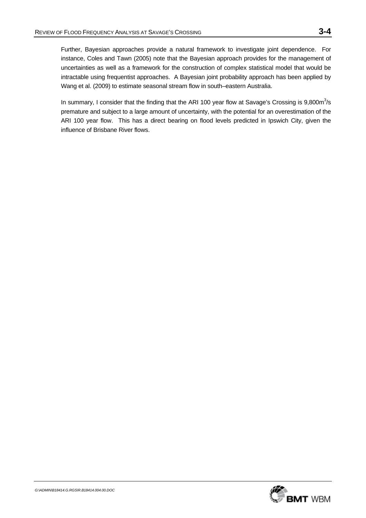Further, Bayesian approaches provide a natural framework to investigate joint dependence. For instance, Coles and Tawn (2005) note that the Bayesian approach provides for the management of uncertainties as well as a framework for the construction of complex statistical model that would be intractable using frequentist approaches. A Bayesian joint probability approach has been applied by Wang et al. (2009) to estimate seasonal stream flow in south–eastern Australia.

In summary, I consider that the finding that the ARI 100 year flow at Savage's Crossing is  $9,800m^3/s$ premature and subject to a large amount of uncertainty, with the potential for an overestimation of the ARI 100 year flow. This has a direct bearing on flood levels predicted in Ipswich City, given the influence of Brisbane River flows.

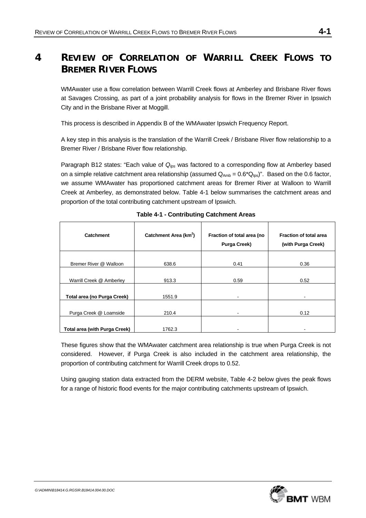# **4 REVIEW OF CORRELATION OF WARRILL CREEK FLOWS TO BREMER RIVER FLOWS**

WMAwater use a flow correlation between Warrill Creek flows at Amberley and Brisbane River flows at Savages Crossing, as part of a joint probability analysis for flows in the Bremer River in Ipswich City and in the Brisbane River at Moggill.

This process is described in Appendix B of the WMAwater Ipswich Frequency Report.

A key step in this analysis is the translation of the Warrill Creek / Brisbane River flow relationship to a Bremer River / Brisbane River flow relationship.

Paragraph B12 states: "Each value of *QIps* was factored to a corresponding flow at Amberley based on a simple relative catchment area relationship (assumed  $Q_{Amb} = 0.6^{\circ}Q_{\text{los}}$ )". Based on the 0.6 factor, we assume WMAwater has proportioned catchment areas for Bremer River at Walloon to Warrill Creek at Amberley, as demonstrated below. Table 4-1 below summarises the catchment areas and proportion of the total contributing catchment upstream of Ipswich.

| Catchment                            | Catchment Area (km <sup>2</sup> ) | Fraction of total area (no<br><b>Purga Creek)</b> | <b>Fraction of total area</b><br>(with Purga Creek) |
|--------------------------------------|-----------------------------------|---------------------------------------------------|-----------------------------------------------------|
| Bremer River @ Walloon               | 638.6                             | 0.41                                              | 0.36                                                |
| Warrill Creek @ Amberley             | 913.3                             | 0.59                                              | 0.52                                                |
| Total area (no Purga Creek)          | 1551.9                            | ٠                                                 |                                                     |
| Purga Creek @ Loamside               | 210.4                             |                                                   | 0.12                                                |
| <b>Total area (with Purga Creek)</b> | 1762.3                            |                                                   |                                                     |

**Table 4-1 - Contributing Catchment Areas** 

These figures show that the WMAwater catchment area relationship is true when Purga Creek is not considered. However, if Purga Creek is also included in the catchment area relationship, the proportion of contributing catchment for Warrill Creek drops to 0.52.

Using gauging station data extracted from the DERM website, Table 4-2 below gives the peak flows for a range of historic flood events for the major contributing catchments upstream of Ipswich.

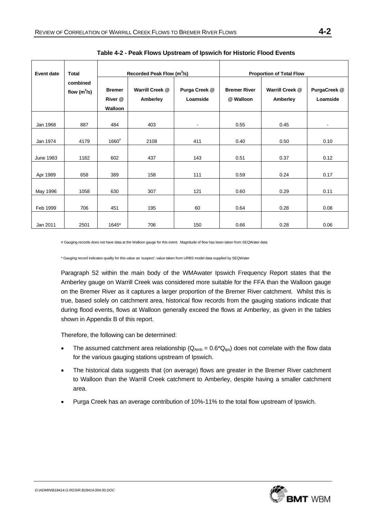| <b>Event date</b> | <b>Total</b>               |                                     | Recorded Peak Flow (m <sup>3</sup> /s) |                           |                                  | <b>Proportion of Total Flow</b> |                          |
|-------------------|----------------------------|-------------------------------------|----------------------------------------|---------------------------|----------------------------------|---------------------------------|--------------------------|
|                   | combined<br>flow $(m^3/s)$ | <b>Bremer</b><br>River @<br>Walloon | Warrill Creek @<br>Amberley            | Purga Creek @<br>Loamside | <b>Bremer River</b><br>@ Walloon | Warrill Creek @<br>Amberley     | PurgaCreek @<br>Loamside |
| Jan 1968          | 887                        | 484                                 | 403                                    | ٠                         | 0.55                             | 0.45                            | $\blacksquare$           |
| Jan 1974          | 4179                       | $1660^{\rm \#}$                     | 2108                                   | 411                       | 0.40                             | 0.50                            | 0.10                     |
| <b>June 1983</b>  | 1182                       | 602                                 | 437                                    | 143                       | 0.51                             | 0.37                            | 0.12                     |
| Apr 1989          | 658                        | 389                                 | 158                                    | 111                       | 0.59                             | 0.24                            | 0.17                     |
| May 1996          | 1058                       | 630                                 | 307                                    | 121                       | 0.60                             | 0.29                            | 0.11                     |
| Feb 1999          | 706                        | 451                                 | 195                                    | 60                        | 0.64                             | 0.28                            | 0.08                     |
| Jan 2011          | 2501                       | 1645*                               | 706                                    | 150                       | 0.66                             | 0.28                            | 0.06                     |

**Table 4-2 - Peak Flows Upstream of Ipswich for Historic Flood Events** 

# Gauging records does not have data at the Walloon gauge for this event. Magnitude of flow has been taken from SEQWater data

\* Gauging record indicates quality for this value as 'suspect'; value taken from URBS model data supplied by SEQWater

Paragraph 52 within the main body of the WMAwater Ipswich Frequency Report states that the Amberley gauge on Warrill Creek was considered more suitable for the FFA than the Walloon gauge on the Bremer River as it captures a larger proportion of the Bremer River catchment. Whilst this is true, based solely on catchment area, historical flow records from the gauging stations indicate that during flood events, flows at Walloon generally exceed the flows at Amberley, as given in the tables shown in Appendix B of this report.

Therefore, the following can be determined:

- The assumed catchment area relationship ( $Q_{Amb} = 0.6*Q_{los}$ ) does not correlate with the flow data for the various gauging stations upstream of Ipswich.
- The historical data suggests that (on average) flows are greater in the Bremer River catchment to Walloon than the Warrill Creek catchment to Amberley, despite having a smaller catchment area.
- Purga Creek has an average contribution of 10%-11% to the total flow upstream of Ipswich.

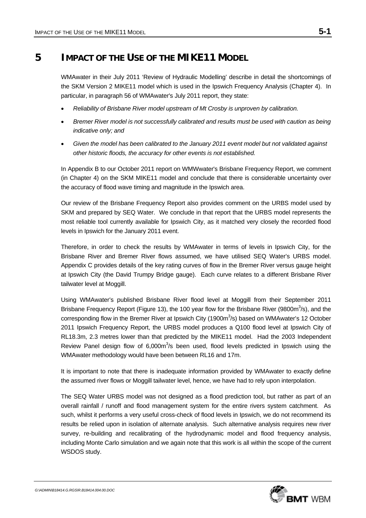# **5 IMPACT OF THE USE OF THE MIKE11 MODEL**

WMAwater in their July 2011 'Review of Hydraulic Modelling' describe in detail the shortcomings of the SKM Version 2 MIKE11 model which is used in the Ipswich Frequency Analysis (Chapter 4). In particular, in paragraph 56 of WMAwater's July 2011 report, they state:

- *Reliability of Brisbane River model upstream of Mt Crosby is unproven by calibration.*
- *Bremer River model is not successfully calibrated and results must be used with caution as being indicative only; and*
- *Given the model has been calibrated to the January 2011 event model but not validated against other historic floods, the accuracy for other events is not established.*

In Appendix B to our October 2011 report on WMWwater's Brisbane Frequency Report, we comment (in Chapter 4) on the SKM MIKE11 model and conclude that there is considerable uncertainty over the accuracy of flood wave timing and magnitude in the Ipswich area.

Our review of the Brisbane Frequency Report also provides comment on the URBS model used by SKM and prepared by SEQ Water. We conclude in that report that the URBS model represents the most reliable tool currently available for Ipswich City, as it matched very closely the recorded flood levels in Ipswich for the January 2011 event.

Therefore, in order to check the results by WMAwater in terms of levels in Ipswich City, for the Brisbane River and Bremer River flows assumed, we have utilised SEQ Water's URBS model. Appendix C provides details of the key rating curves of flow in the Bremer River versus gauge height at Ipswich City (the David Trumpy Bridge gauge). Each curve relates to a different Brisbane River tailwater level at Moggill.

Using WMAwater's published Brisbane River flood level at Moggill from their September 2011 Brisbane Frequency Report (Figure 13), the 100 year flow for the Brisbane River (9800m $3$ /s), and the corresponding flow in the Bremer River at Ipswich City (1900 $m^3$ /s) based on WMAwater's 12 October 2011 Ipswich Frequency Report, the URBS model produces a Q100 flood level at Ipswich City of RL18.3m, 2.3 metres lower than that predicted by the MIKE11 model. Had the 2003 Independent Review Panel design flow of  $6,000m^3/s$  been used, flood levels predicted in Ipswich using the WMAwater methodology would have been between RL16 and 17m.

It is important to note that there is inadequate information provided by WMAwater to exactly define the assumed river flows or Moggill tailwater level, hence, we have had to rely upon interpolation.

The SEQ Water URBS model was not designed as a flood prediction tool, but rather as part of an overall rainfall / runoff and flood management system for the entire rivers system catchment. As such, whilst it performs a very useful cross-check of flood levels in Ipswich, we do not recommend its results be relied upon in isolation of alternate analysis. Such alternative analysis requires new river survey, re-building and recalibrating of the hydrodynamic model and flood frequency analysis, including Monte Carlo simulation and we again note that this work is all within the scope of the current WSDOS study.

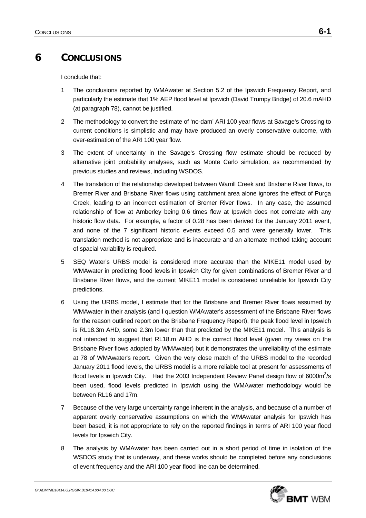# **6 CONCLUSIONS**

I conclude that:

- 1 The conclusions reported by WMAwater at Section 5.2 of the Ipswich Frequency Report, and particularly the estimate that 1% AEP flood level at Ipswich (David Trumpy Bridge) of 20.6 mAHD (at paragraph 78), cannot be justified.
- 2 The methodology to convert the estimate of 'no-dam' ARI 100 year flows at Savage's Crossing to current conditions is simplistic and may have produced an overly conservative outcome, with over-estimation of the ARI 100 year flow.
- 3 The extent of uncertainty in the Savage's Crossing flow estimate should be reduced by alternative joint probability analyses, such as Monte Carlo simulation, as recommended by previous studies and reviews, including WSDOS.
- 4 The translation of the relationship developed between Warrill Creek and Brisbane River flows, to Bremer River and Brisbane River flows using catchment area alone ignores the effect of Purga Creek, leading to an incorrect estimation of Bremer River flows. In any case, the assumed relationship of flow at Amberley being 0.6 times flow at Ipswich does not correlate with any historic flow data. For example, a factor of 0.28 has been derived for the January 2011 event, and none of the 7 significant historic events exceed 0.5 and were generally lower. This translation method is not appropriate and is inaccurate and an alternate method taking account of spacial variability is required.
- 5 SEQ Water's URBS model is considered more accurate than the MIKE11 model used by WMAwater in predicting flood levels in Ipswich City for given combinations of Bremer River and Brisbane River flows, and the current MIKE11 model is considered unreliable for Ipswich City predictions.
- 6 Using the URBS model, I estimate that for the Brisbane and Bremer River flows assumed by WMAwater in their analysis (and I question WMAwater's assessment of the Brisbane River flows for the reason outlined report on the Brisbane Frequency Report), the peak flood level in Ipswich is RL18.3m AHD, some 2.3m lower than that predicted by the MIKE11 model. This analysis is not intended to suggest that RL18.m AHD is the correct flood level (given my views on the Brisbane River flows adopted by WMAwater) but it demonstrates the unreliability of the estimate at 78 of WMAwater's report. Given the very close match of the URBS model to the recorded January 2011 flood levels, the URBS model is a more reliable tool at present for assessments of flood levels in Ipswich City. Had the 2003 Independent Review Panel design flow of 6000 $m^3$ /s been used, flood levels predicted in Ipswich using the WMAwater methodology would be between RL16 and 17m.
- 7 Because of the very large uncertainty range inherent in the analysis, and because of a number of apparent overly conservative assumptions on which the WMAwater analysis for Ipswich has been based, it is not appropriate to rely on the reported findings in terms of ARI 100 year flood levels for Ipswich City.
- 8 The analysis by WMAwater has been carried out in a short period of time in isolation of the WSDOS study that is underway, and these works should be completed before any conclusions of event frequency and the ARI 100 year flood line can be determined.

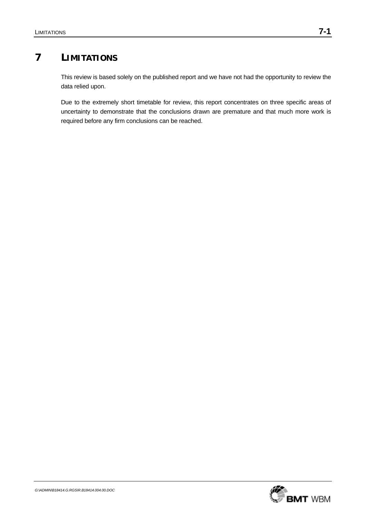# **7 LIMITATIONS**

This review is based solely on the published report and we have not had the opportunity to review the data relied upon.

Due to the extremely short timetable for review, this report concentrates on three specific areas of uncertainty to demonstrate that the conclusions drawn are premature and that much more work is required before any firm conclusions can be reached.

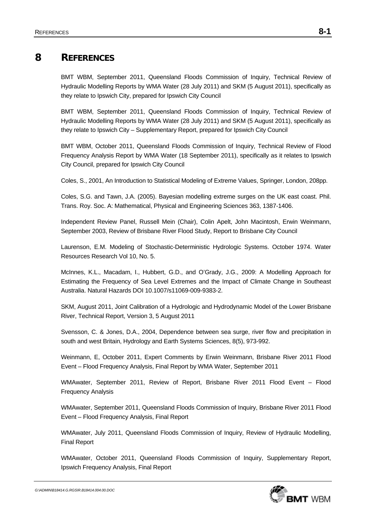# **8 REFERENCES**

BMT WBM, September 2011, Queensland Floods Commission of Inquiry, Technical Review of Hydraulic Modelling Reports by WMA Water (28 July 2011) and SKM (5 August 2011), specifically as they relate to Ipswich City, prepared for Ipswich City Council

BMT WBM, September 2011, Queensland Floods Commission of Inquiry, Technical Review of Hydraulic Modelling Reports by WMA Water (28 July 2011) and SKM (5 August 2011), specifically as they relate to Ipswich City – Supplementary Report, prepared for Ipswich City Council

BMT WBM, October 2011, Queensland Floods Commission of Inquiry, Technical Review of Flood Frequency Analysis Report by WMA Water (18 September 2011), specifically as it relates to Ipswich City Council, prepared for Ipswich City Council

Coles, S., 2001, An Introduction to Statistical Modeling of Extreme Values, Springer, London, 208pp.

Coles, S.G. and Tawn, J.A. (2005). Bayesian modelling extreme surges on the UK east coast. Phil. Trans. Roy. Soc. A: Mathematical, Physical and Engineering Sciences 363, 1387-1406.

Independent Review Panel, Russell Mein (Chair), Colin Apelt, John Macintosh, Erwin Weinmann, September 2003, Review of Brisbane River Flood Study, Report to Brisbane City Council

Laurenson, E.M. Modeling of Stochastic-Deterministic Hydrologic Systems. October 1974. Water Resources Research Vol 10, No. 5.

McInnes, K.L., Macadam, I., Hubbert, G.D., and O'Grady, J.G., 2009: A Modelling Approach for Estimating the Frequency of Sea Level Extremes and the Impact of Climate Change in Southeast Australia. Natural Hazards DOI 10.1007/s11069-009-9383-2.

SKM, August 2011, Joint Calibration of a Hydrologic and Hydrodynamic Model of the Lower Brisbane River, Technical Report, Version 3, 5 August 2011

Svensson, C. & Jones, D.A., 2004, Dependence between sea surge, river flow and precipitation in south and west Britain, Hydrology and Earth Systems Sciences, 8(5), 973-992.

Weinmann, E, October 2011, Expert Comments by Erwin Weinmann, Brisbane River 2011 Flood Event – Flood Frequency Analysis, Final Report by WMA Water, September 2011

WMAwater, September 2011, Review of Report, Brisbane River 2011 Flood Event – Flood Frequency Analysis

WMAwater, September 2011, Queensland Floods Commission of Inquiry, Brisbane River 2011 Flood Event – Flood Frequency Analysis, Final Report

WMAwater, July 2011, Queensland Floods Commission of Inquiry, Review of Hydraulic Modelling, Final Report

WMAwater, October 2011, Queensland Floods Commission of Inquiry, Supplementary Report, Ipswich Frequency Analysis, Final Report

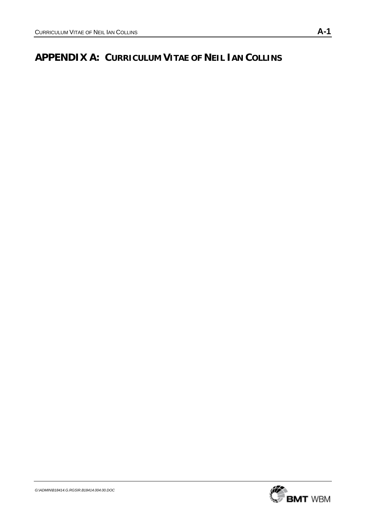# **APPENDIX A: CURRICULUM VITAE OF NEIL IAN COLLINS**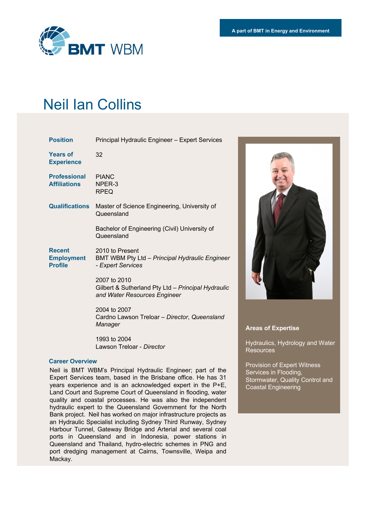

# Neil Ian Collins

| <b>Position</b>                                      | Principal Hydraulic Engineer - Expert Services                                                     |
|------------------------------------------------------|----------------------------------------------------------------------------------------------------|
| <b>Years of</b><br><b>Experience</b>                 | 32                                                                                                 |
| <b>Professional</b><br><b>Affiliations</b>           | <b>PIANC</b><br>NPER-3<br><b>RPEQ</b>                                                              |
| <b>Qualifications</b>                                | Master of Science Engineering, University of<br>Queensland                                         |
|                                                      | Bachelor of Engineering (Civil) University of<br>Queensland                                        |
| <b>Recent</b><br><b>Employment</b><br><b>Profile</b> | 2010 to Present<br>BMT WBM Pty Ltd - Principal Hydraulic Engineer<br>- Expert Services             |
|                                                      | 2007 to 2010<br>Gilbert & Sutherland Pty Ltd - Principal Hydraulic<br>and Water Resources Engineer |
|                                                      | 2004 to 2007<br>Cardno Lawson Treloar - Director, Queensland<br>Manager                            |
|                                                      | 1993 to 2004                                                                                       |

Lawson Treloar - *Director*

### **Career Overview**

Neil is BMT WBM's Principal Hydraulic Engineer; part of the Expert Services team, based in the Brisbane office. He has 31 years experience and is an acknowledged expert in the P+E, Land Court and Supreme Court of Queensland in flooding, water quality and coastal processes. He was also the independent hydraulic expert to the Queensland Government for the North Bank project. Neil has worked on major infrastructure projects as an Hydraulic Specialist including Sydney Third Runway, Sydney Harbour Tunnel, Gateway Bridge and Arterial and several coal ports in Queensland and in Indonesia, power stations in Queensland and Thailand, hydro-electric schemes in PNG and port dredging management at Cairns, Townsville, Weipa and Mackay.



#### **Areas of Expertise**

Hydraulics, Hydrology and Water **Resources** 

Provision of Expert Witness Services in Flooding, Stormwater, Quality Control and Coastal Engineering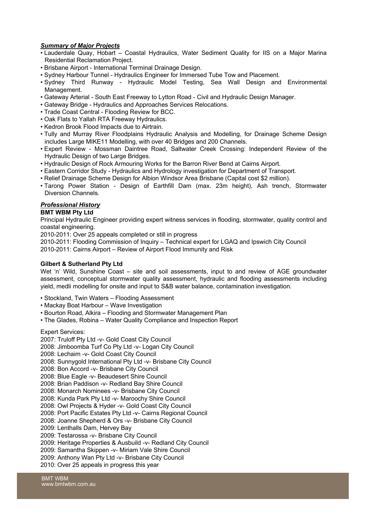## *Summary of Major Projects*

- Lauderdale Quay, Hobart Coastal Hydraulics, Water Sediment Quality for IIS on a Major Marina Residential Reclamation Project.
- Brisbane Airport International Terminal Drainage Design.
- Sydney Harbour Tunnel Hydraulics Engineer for Immersed Tube Tow and Placement.
- Sydney Third Runway Hydraulic Model Testing, Sea Wall Design and Environmental Management.
- Gateway Arterial South East Freeway to Lytton Road Civil and Hydraulic Design Manager.
- Gateway Bridge Hydraulics and Approaches Services Relocations.
- Trade Coast Central Flooding Review for BCC.
- Oak Flats to Yallah RTA Freeway Hydraulics.
- Kedron Brook Flood Impacts due to Airtrain.
- Tully and Murray River Floodplains Hydraulic Analysis and Modelling, for Drainage Scheme Design includes Large MIKE11 Modelling, with over 40 Bridges and 200 Channels.
- Expert Review Mossman Daintree Road, Saltwater Creek Crossing: Independent Review of the Hydraulic Design of two Large Bridges.
- Hydraulic Design of Rock Armouring Works for the Barron River Bend at Cairns Airport.
- Eastern Corridor Study Hydraulics and Hydrology investigation for Department of Transport.
- Relief Drainage Scheme Design for Albion Windsor Area Brisbane (Capital cost \$2 million).
- Tarong Power Station Design of Earthfill Dam (max. 23m height), Ash trench, Stormwater Diversion Channels.

# *Professional History*

## **BMT WBM Pty Ltd**

Principal Hydraulic Engineer providing expert witness services in flooding, stormwater, quality control and coastal engineering.

2010-2011: Over 25 appeals completed or still in progress

2010-2011: Flooding Commission of Inquiry – Technical expert for LGAQ and Ipswich City Council 2010-2011: Cairns Airport – Review of Airport Flood Immunity and Risk

### **Gilbert & Sutherland Pty Ltd**

Wet 'n' Wild, Sunshine Coast – site and soil assessments, input to and review of AGE groundwater assessment, conceptual stormwater quality assessment, hydraulic and flooding assessments including yield, medli modelling for onsite and input to S&B water balance, contamination investigation.

- Stockland, Twin Waters Flooding Assessment
- Mackay Boat Harbour Wave Investigation
- Bourton Road, Alkira Flooding and Stormwater Management Plan
- The Glades, Robina Water Quality Compliance and Inspection Report

Expert Services:

- 2007: Truloff Pty Ltd -v- Gold Coast City Council
- 2008: Jimboomba Turf Co Pty Ltd -v- Logan City Council
- 2008: Lechaim -v- Gold Coast City Council
- 2008: Sunnygold International Pty Ltd -v- Brisbane City Council
- 2008: Bon Accord -v- Brisbane City Council
- 2008: Blue Eagle -v- Beaudesert Shire Council
- 2008: Brian Paddison -v- Redland Bay Shire Council
- 2008: Monarch Nominees -v- Brisbane City Council
- 2008: Kunda Park Pty Ltd -v- Maroochy Shire Council
- 2008: Owl Projects & Hyder -v- Gold Coast City Council
- 2008: Port Pacific Estates Pty Ltd -v- Cairns Regional Council
- 2008: Joanne Shepherd & Ors -v- Brisbane City Council
- 2009: Lenthalls Dam, Hervey Bay
- 2009: Testarossa -v- Brisbane City Council
- 2009: Heritage Properties & Ausbuild -v- Redland City Council
- 2009: Samantha Skippen -v- Miriam Vale Shire Council
- 2009: Anthony Wan Pty Ltd -v- Brisbane City Council
- 2010: Over 25 appeals in progress this year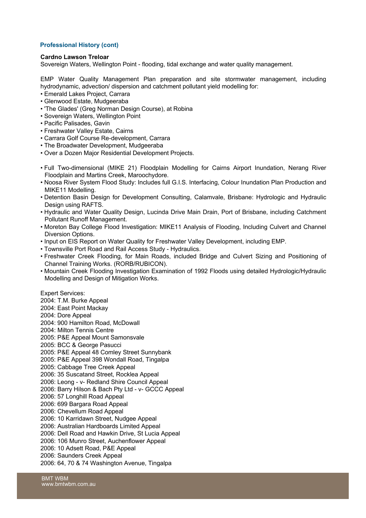## **Professional History (cont)**

#### **Cardno Lawson Treloar**

Sovereign Waters, Wellington Point - flooding, tidal exchange and water quality management.

EMP Water Quality Management Plan preparation and site stormwater management, including hydrodynamic, advection/ dispersion and catchment pollutant yield modelling for:

- Emerald Lakes Project, Carrara
- Glenwood Estate, Mudgeeraba
- 'The Glades' (Greg Norman Design Course), at Robina
- Sovereign Waters, Wellington Point
- Pacific Palisades, Gavin
- Freshwater Valley Estate, Cairns
- Carrara Golf Course Re-development, Carrara
- The Broadwater Development, Mudgeeraba
- Over a Dozen Major Residential Development Projects.
- Full Two-dimensional (MIKE 21) Floodplain Modelling for Cairns Airport Inundation, Nerang River Floodplain and Martins Creek, Maroochydore.
- Noosa River System Flood Study: Includes full G.I.S. Interfacing, Colour Inundation Plan Production and MIKE11 Modelling.
- Detention Basin Design for Development Consulting, Calamvale, Brisbane: Hydrologic and Hydraulic Design using RAFTS.
- Hydraulic and Water Quality Design, Lucinda Drive Main Drain, Port of Brisbane, including Catchment Pollutant Runoff Management.
- Moreton Bay College Flood Investigation: MIKE11 Analysis of Flooding, Including Culvert and Channel Diversion Options.
- Input on EIS Report on Water Quality for Freshwater Valley Development, including EMP.
- Townsville Port Road and Rail Access Study Hydraulics.
- Freshwater Creek Flooding, for Main Roads, included Bridge and Culvert Sizing and Positioning of Channel Training Works. (RORB/RUBICON).
- Mountain Creek Flooding Investigation Examination of 1992 Floods using detailed Hydrologic/Hydraulic Modelling and Design of Mitigation Works.

Expert Services:

2004: T.M. Burke Appeal

- 2004: East Point Mackay
- 2004: Dore Appeal

2004: 900 Hamilton Road, McDowall

- 2004: Milton Tennis Centre
- 2005: P&E Appeal Mount Samonsvale
- 2005: BCC & George Pasucci
- 2005: P&E Appeal 48 Comley Street Sunnybank
- 2005: P&E Appeal 398 Wondall Road, Tingalpa
- 2005: Cabbage Tree Creek Appeal
- 2006: 35 Suscatand Street, Rocklea Appeal
- 2006: Leong v- Redland Shire Council Appeal
- 2006: Barry Hilson & Bach Pty Ltd v- GCCC Appeal
- 2006: 57 Longhill Road Appeal
- 2006: 699 Bargara Road Appeal
- 2006: Chevellum Road Appeal
- 2006: 10 Karridawn Street, Nudgee Appeal
- 2006: Australian Hardboards Limited Appeal

2006: Dell Road and Hawkin Drive, St Lucia Appeal

- 2006: 106 Munro Street, Auchenflower Appeal
- 2006: 10 Adsett Road, P&E Appeal
- 2006: Saunders Creek Appeal

2006: 64, 70 & 74 Washington Avenue, Tingalpa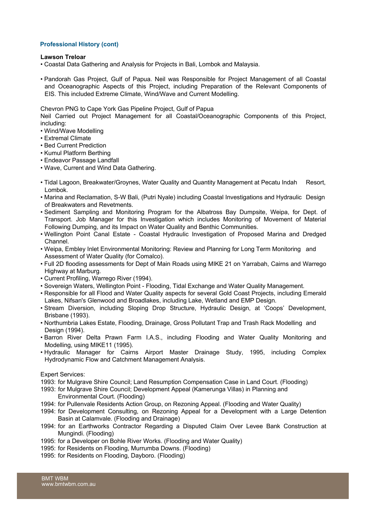### **Professional History (cont)**

#### **Lawson Treloar**

- Coastal Data Gathering and Analysis for Projects in Bali, Lombok and Malaysia.
- Pandorah Gas Project, Gulf of Papua. Neil was Responsible for Project Management of all Coastal and Oceanographic Aspects of this Project, including Preparation of the Relevant Components of EIS. This included Extreme Climate, Wind/Wave and Current Modelling.

#### Chevron PNG to Cape York Gas Pipeline Project, Gulf of Papua

Neil Carried out Project Management for all Coastal/Oceanographic Components of this Project, including:

- Wind/Wave Modelling
- Extremal Climate
- Bed Current Prediction
- Kumul Platform Berthing
- Endeavor Passage Landfall
- Wave, Current and Wind Data Gathering.
- Tidal Lagoon, Breakwater/Groynes, Water Quality and Quantity Management at Pecatu Indah Resort, Lombok.
- Marina and Reclamation, S-W Bali, (Putri Nyale) including Coastal Investigations and Hydraulic Design of Breakwaters and Revetments.
- Sediment Sampling and Monitoring Program for the Albatross Bay Dumpsite, Weipa, for Dept. of Transport. Job Manager for this Investigation which includes Monitoring of Movement of Material Following Dumping, and its Impact on Water Quality and Benthic Communities.
- Wellington Point Canal Estate Coastal Hydraulic Investigation of Proposed Marina and Dredged Channel.
- Weipa, Embley Inlet Environmental Monitoring: Review and Planning for Long Term Monitoring and Assessment of Water Quality (for Comalco).
- Full 2D flooding assessments for Dept of Main Roads using MIKE 21 on Yarrabah, Cairns and Warrego Highway at Marburg.
- Current Profiling, Warrego River (1994).
- Sovereign Waters, Wellington Point Flooding, Tidal Exchange and Water Quality Management.
- Responsible for all Flood and Water Quality aspects for several Gold Coast Projects, including Emerald Lakes, Nifsan's Glenwood and Broadlakes, including Lake, Wetland and EMP Design.
- Stream Diversion, including Sloping Drop Structure, Hydraulic Design, at 'Coops' Development, Brisbane (1993).
- Northumbria Lakes Estate, Flooding, Drainage, Gross Pollutant Trap and Trash Rack Modelling and Design (1994).
- Barron River Delta Prawn Farm I.A.S., including Flooding and Water Quality Monitoring and Modelling, using MIKE11 (1995).
- Hydraulic Manager for Cairns Airport Master Drainage Study, 1995, including Complex Hydrodynamic Flow and Catchment Management Analysis.

#### Expert Services:

1993: for Mulgrave Shire Council; Land Resumption Compensation Case in Land Court. (Flooding)

- 1993: for Mulgrave Shire Council; Development Appeal (Kamerunga Villas) in Planning and Environmental Court. (Flooding)
- 1994: for Pullenvale Residents Action Group, on Rezoning Appeal. (Flooding and Water Quality)
- 1994: for Development Consulting, on Rezoning Appeal for a Development with a Large Detention Basin at Calamvale. (Flooding and Drainage)
- 1994: for an Earthworks Contractor Regarding a Disputed Claim Over Levee Bank Construction at Mungindi. (Flooding)
- 1995: for a Developer on Bohle River Works. (Flooding and Water Quality)
- 1995: for Residents on Flooding, Murrumba Downs. (Flooding)
- 1995: for Residents on Flooding, Dayboro. (Flooding)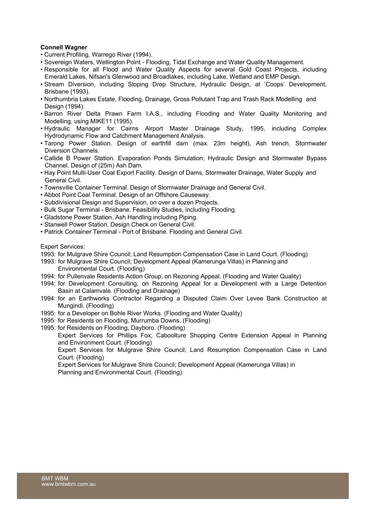### **Connell Wagner**

- Current Profiling, Warrego River (1994).
- Sovereign Waters, Wellington Point Flooding, Tidal Exchange and Water Quality Management.
- Responsible for all Flood and Water Quality Aspects for several Gold Coast Projects, including Emerald Lakes, Nifsan's Glenwood and Broadlakes, including Lake, Wetland and EMP Design.
- Stream Diversion, including Sloping Drop Structure, Hydraulic Design, at 'Coops' Development, Brisbane (1993).
- Northumbria Lakes Estate, Flooding, Drainage, Gross Pollutant Trap and Trash Rack Modelling and Design (1994).
- Barron River Delta Prawn Farm I.A.S., including Flooding and Water Quality Monitoring and Modelling, using MIKE11 (1995).
- Hydraulic Manager for Cairns Airport Master Drainage Study, 1995, including Complex Hydrodynamic Flow and Catchment Management Analysis.
- Tarong Power Station. Design of earthfill dam (max. 23m height), Ash trench, Stormwater Diversion Channels.
- Callide B Power Station. Evaporation Ponds Simulation; Hydraulic Design and Stormwater Bypass Channel. Design of (25m) Ash Dam.
- Hay Point Multi-User Coal Export Facility. Design of Dams, Stormwater Drainage, Water Supply and General Civil.
- Townsville Container Terminal. Design of Stormwater Drainage and General Civil.
- Abbot Point Coal Terminal. Design of an Offshore Causeway.
- Subdivisional Design and Supervision, on over a dozen Projects.
- Bulk Sugar Terminal Brisbane. Feasibility Studies, including Flooding.
- Gladstone Power Station. Ash Handling including Piping.
- Stanwell Power Station. Design Check on General Civil.
- Patrick Container Terminal Port of Brisbane. Flooding and General Civil.

#### Expert Services:

1993: for Mulgrave Shire Council; Land Resumption Compensation Case in Land Court. (Flooding)

- 1993: for Mulgrave Shire Council; Development Appeal (Kamerunga Villas) in Planning and Environmental Court. (Flooding)
- 1994: for Pullenvale Residents Action Group, on Rezoning Appeal. (Flooding and Water Quality)
- 1994: for Development Consulting, on Rezoning Appeal for a Development with a Large Detention Basin at Calamvale. (Flooding and Drainage)
- 1994: for an Earthworks Contractor Regarding a Disputed Claim Over Levee Bank Construction at Mungindi. (Flooding)
- 1995: for a Developer on Bohle River Works. (Flooding and Water Quality)
- 1995: for Residents on Flooding, Murrumba Downs. (Flooding)
- 1995: for Residents on Flooding, Dayboro. (Flooding)

Expert Services for Phillips Fox; Caboolture Shopping Centre Extension Appeal in Planning and Environment Court. (Flooding)

Expert Services for Mulgrave Shire Council; Land Resumption Compensation Case in Land Court. (Flooding)

Expert Services for Mulgrave Shire Council; Development Appeal (Kamerunga Villas) in Planning and Environmental Court. (Flooding).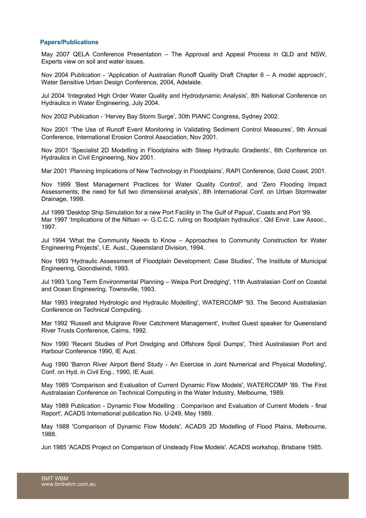#### **Papers/Publications**

May 2007 QELA Conference Presentation – The Approval and Appeal Process in QLD and NSW, Experts view on soil and water issues.

Nov 2004 Publication - 'Application of Australian Runoff Quality Draft Chapter 6 – A model approach', Water Sensitive Urban Design Conference, 2004, Adelaide.

Jul 2004 'Integrated High Order Water Quality and Hydrodynamic Analysis', 8th National Conference on Hydraulics in Water Engineering, July 2004.

Nov 2002 Publication - 'Hervey Bay Storm Surge', 30th PIANC Congress, Sydney 2002.

Nov 2001 'The Use of Runoff Event Monitoring in Validating Sediment Control Measures', 9th Annual Conference, International Erosion Control Association, Nov 2001.

Nov 2001 'Specialist 2D Modelling in Floodplains with Steep Hydraulic Gradients', 6th Conference on Hydraulics in Civil Engineering, Nov 2001.

Mar 2001 'Planning Implications of New Technology in Floodplains', RAPI Conference, Gold Coast, 2001.

Nov 1999 'Best Management Practices for Water Quality Control', and 'Zero Flooding Impact Assessments; the need for full two dimensional analysis', 8th International Conf. on Urban Stormwater Drainage, 1999.

Jul 1999 'Desktop Ship Simulation for a new Port Facility in The Gulf of Papua', Coasts and Port '99. Mar 1997 'Implications of the Nifsan -v- G.C.C.C. ruling on floodplain hydraulics', Qld Envir. Law Assoc., 1997.

Jul 1994 'What the Community Needs to Know – Approaches to Community Construction for Water Engineering Projects', I.E. Aust., Queensland Division, 1994.

Nov 1993 'Hydraulic Assessment of Floodplain Development: Case Studies', The Institute of Municipal Engineering, Goondiwindi, 1993.

Jul 1993 'Long Term Environmental Planning – Weipa Port Dredging', 11th Australasian Conf on Coastal and Ocean Engineering. Townsville, 1993.

Mar 1993 Integrated Hydrologic and Hydraulic Modelling', WATERCOMP '93. The Second Australasian Conference on Technical Computing.

Mar 1992 'Russell and Mulgrave River Catchment Management', Invited Guest speaker for Queensland River Trusts Conference, Cairns, 1992.

Nov 1990 'Recent Studies of Port Dredging and Offshore Spoil Dumps', Third Australasian Port and Harbour Conference 1990, IE Aust.

Aug 1990 'Barron River Airport Bend Study - An Exercise in Joint Numerical and Physical Modelling', Conf. on Hyd. in Civil Eng., 1990, IE Aust.

May 1989 'Comparison and Evaluation of Current Dynamic Flow Models', WATERCOMP '89. The First Australasian Conference on Technical Computing in the Water Industry, Melbourne, 1989.

May 1989 Publication - Dynamic Flow Modelling : Comparison and Evaluation of Current Models - final Report', ACADS International publication No. U-249, May 1989.

May 1988 'Comparison of Dynamic Flow Models', ACADS 2D Modelling of Flood Plains, Melbourne, 1988.

Jun 1985 'ACADS Project on Comparison of Unsteady Flow Models', ACADS workshop, Brisbane 1985.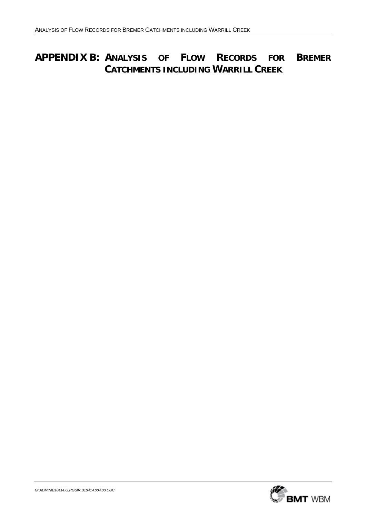# **APPENDIX B: ANALYSIS OF FLOW RECORDS FOR BREMER CATCHMENTS INCLUDING WARRILL CREEK**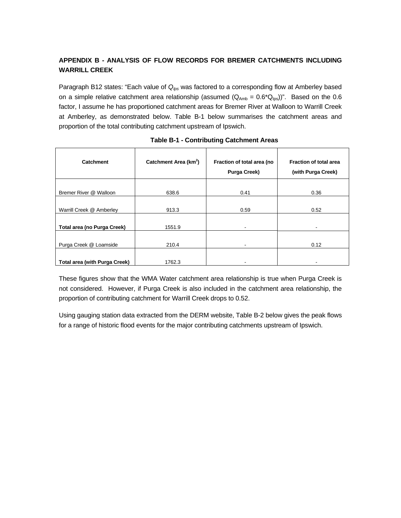# **APPENDIX B - ANALYSIS OF FLOW RECORDS FOR BREMER CATCHMENTS INCLUDING WARRILL CREEK**

Paragraph B12 states: "Each value of Q<sub>lps</sub> was factored to a corresponding flow at Amberley based on a simple relative catchment area relationship (assumed  $(Q_{Amb} = 0.6^*Q_{los})$ ". Based on the 0.6 factor, I assume he has proportioned catchment areas for Bremer River at Walloon to Warrill Creek at Amberley, as demonstrated below. Table B-1 below summarises the catchment areas and proportion of the total contributing catchment upstream of Ipswich.

| <b>Catchment</b>                     | Catchment Area (km <sup>2</sup> ) | Fraction of total area (no<br><b>Purga Creek)</b> | <b>Fraction of total area</b><br>(with Purga Creek) |
|--------------------------------------|-----------------------------------|---------------------------------------------------|-----------------------------------------------------|
| Bremer River @ Walloon               | 638.6                             | 0.41                                              | 0.36                                                |
| Warrill Creek @ Amberley             | 913.3                             | 0.59                                              | 0.52                                                |
| Total area (no Purga Creek)          | 1551.9                            | ۰                                                 | -                                                   |
| Purga Creek @ Loamside               | 210.4                             | ٠                                                 | 0.12                                                |
| <b>Total area (with Purga Creek)</b> | 1762.3                            | ۰                                                 | -                                                   |

### **Table B-1 - Contributing Catchment Areas**

These figures show that the WMA Water catchment area relationship is true when Purga Creek is not considered. However, if Purga Creek is also included in the catchment area relationship, the proportion of contributing catchment for Warrill Creek drops to 0.52.

Using gauging station data extracted from the DERM website, Table B-2 below gives the peak flows for a range of historic flood events for the major contributing catchments upstream of Ipswich.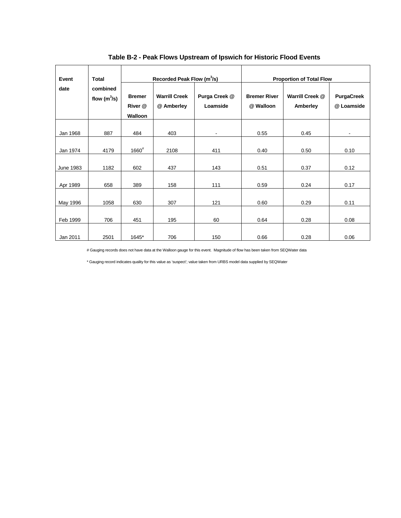| Event            | Recorded Peak Flow (m <sup>3</sup> /s)<br><b>Total</b> |                                     | <b>Proportion of Total Flow</b>    |                           |                                  |                             |                                 |
|------------------|--------------------------------------------------------|-------------------------------------|------------------------------------|---------------------------|----------------------------------|-----------------------------|---------------------------------|
| date             | combined<br>flow $(m^3/s)$                             | <b>Bremer</b><br>River @<br>Walloon | <b>Warrill Creek</b><br>@ Amberley | Purga Creek @<br>Loamside | <b>Bremer River</b><br>@ Walloon | Warrill Creek @<br>Amberley | <b>PurgaCreek</b><br>@ Loamside |
| Jan 1968         | 887                                                    | 484                                 | 403                                | $\blacksquare$            | 0.55                             | 0.45                        |                                 |
| Jan 1974         | 4179                                                   | $1660^{\#}$                         | 2108                               | 411                       | 0.40                             | 0.50                        | 0.10                            |
| <b>June 1983</b> | 1182                                                   | 602                                 | 437                                | 143                       | 0.51                             | 0.37                        | 0.12                            |
| Apr 1989         | 658                                                    | 389                                 | 158                                | 111                       | 0.59                             | 0.24                        | 0.17                            |
| May 1996         | 1058                                                   | 630                                 | 307                                | 121                       | 0.60                             | 0.29                        | 0.11                            |
| Feb 1999         | 706                                                    | 451                                 | 195                                | 60                        | 0.64                             | 0.28                        | 0.08                            |
| Jan 2011         | 2501                                                   | 1645*                               | 706                                | 150                       | 0.66                             | 0.28                        | 0.06                            |

**Table B-2 - Peak Flows Upstream of Ipswich for Historic Flood Events** 

# Gauging records does not have data at the Walloon gauge for this event. Magnitude of flow has been taken from SEQWater data

\* Gauging record indicates quality for this value as 'suspect'; value taken from URBS model data supplied by SEQWater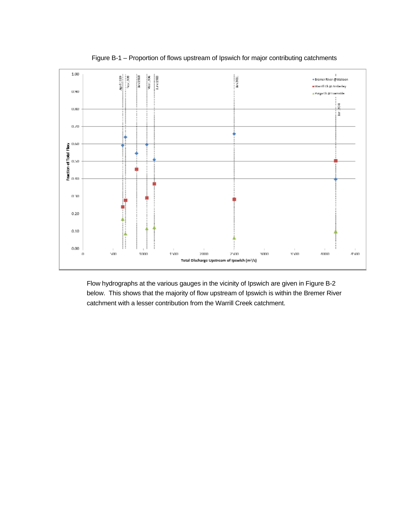

Figure B-1 – Proportion of flows upstream of Ipswich for major contributing catchments

Flow hydrographs at the various gauges in the vicinity of Ipswich are given in Figure B-2 below. This shows that the majority of flow upstream of Ipswich is within the Bremer River catchment with a lesser contribution from the Warrill Creek catchment.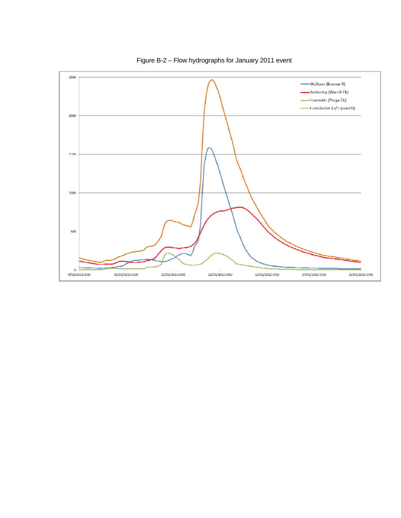

Figure B-2 – Flow hydrographs for January 2011 event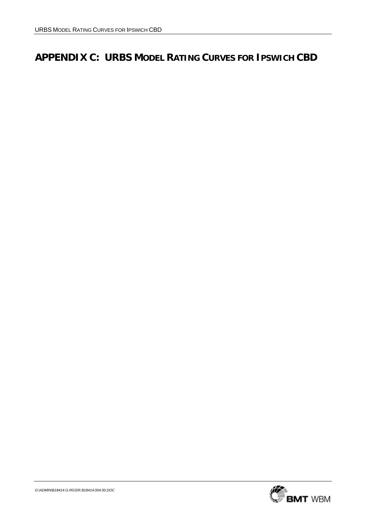# **APPENDIX C: URBS MODEL RATING CURVES FOR IPSWICH CBD**

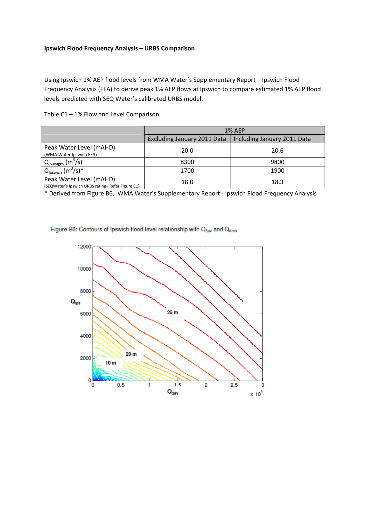### **Ipswich Flood Frequency Analysis – URBS Comparison**

Using Ipswich 1% AEP flood levels from WMA Water's Supplementary Report – Ipswich Flood Frequency Analysis (FFA) to derive peak 1% AEP flows at Ipswich to compare estimated 1% AEP flood levels predicted with SEQ Water's calibrated URBS model.

|  |  |  | Table C1 - 1% Flow and Level Comparison |
|--|--|--|-----------------------------------------|
|--|--|--|-----------------------------------------|

|                                                                             | <b>1% AFP</b>                      |                             |  |
|-----------------------------------------------------------------------------|------------------------------------|-----------------------------|--|
|                                                                             | <b>Excluding January 2011 Data</b> | Including January 2011 Data |  |
| Peak Water Level (mAHD)<br>(WMA Water Ipswich FFA)                          | 20.0                               | 20.6                        |  |
| $Q_{\text{savages}}$ (m <sup>3</sup> /s)                                    | 8300                               | 9800                        |  |
| $Q_{\mathsf{lpswich}}(m^3/s)^*$                                             | 1700                               | 1900                        |  |
| Peak Water Level (mAHD)<br>(SEQWater's Ipswich URBS rating-Refer Figure C1) | 18.0                               | 18.3                        |  |

\* Derived from Figure B6, WMA Water's Supplementary Report ‐ Ipswich Flood Frequency Analysis

Figure B6: Contours of Ipswich flood level relationship with Qsav and QAmb

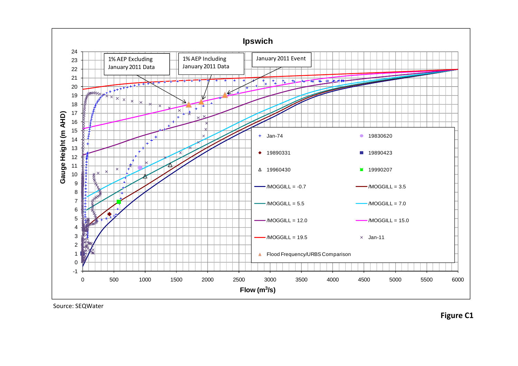

Source: SEQWater

**Figure C1**